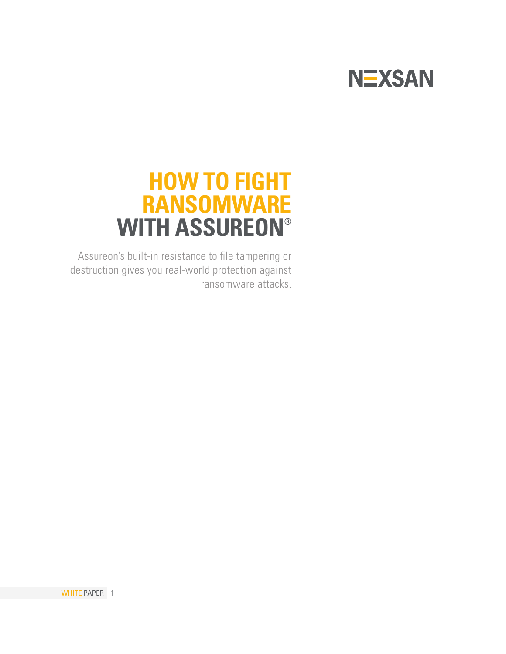

## **HOW TO FIGHT RANSOMWARE WITH ASSUREON®**

Assureon's built-in resistance to file tampering or destruction gives you real-world protection against ransomware attacks.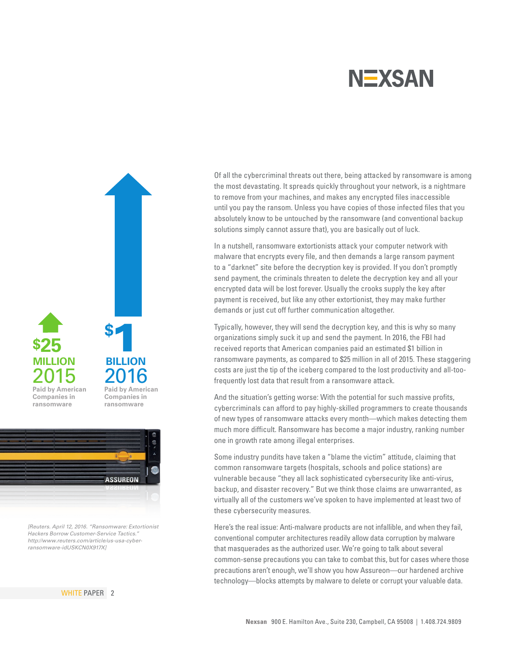



*[Reuters. April 12, 2016. "Ransomware: Extortionist Hackers Borrow Customer-Service Tactics." http://www.reuters.com/article/us-usa-cyberransomware-idUSKCN0X917X]*

WHITE PAPER 2

Of all the cybercriminal threats out there, being attacked by ransomware is among the most devastating. It spreads quickly throughout your network, is a nightmare to remove from your machines, and makes any encrypted files inaccessible until you pay the ransom. Unless you have copies of those infected files that you absolutely know to be untouched by the ransomware (and conventional backup solutions simply cannot assure that), you are basically out of luck.

In a nutshell, ransomware extortionists attack your computer network with malware that encrypts every file, and then demands a large ransom payment to a "darknet" site before the decryption key is provided. If you don't promptly send payment, the criminals threaten to delete the decryption key and all your encrypted data will be lost forever. Usually the crooks supply the key after payment is received, but like any other extortionist, they may make further demands or just cut off further communication altogether.

Typically, however, they will send the decryption key, and this is why so many organizations simply suck it up and send the payment. In 2016, the FBI had received reports that American companies paid an estimated \$1 billion in ransomware payments, as compared to \$25 million in all of 2015. These staggering costs are just the tip of the iceberg compared to the lost productivity and all-toofrequently lost data that result from a ransomware attack.

And the situation's getting worse: With the potential for such massive profits, cybercriminals can afford to pay highly-skilled programmers to create thousands of new types of ransomware attacks every month—which makes detecting them much more difficult. Ransomware has become a major industry, ranking number one in growth rate among illegal enterprises.

Some industry pundits have taken a "blame the victim" attitude, claiming that common ransomware targets (hospitals, schools and police stations) are vulnerable because "they all lack sophisticated cybersecurity like anti-virus, backup, and disaster recovery." But we think those claims are unwarranted, as virtually all of the customers we've spoken to have implemented at least two of these cybersecurity measures.

Here's the real issue: Anti-malware products are not infallible, and when they fail, conventional computer architectures readily allow data corruption by malware that masquerades as the authorized user. We're going to talk about several common-sense precautions you can take to combat this, but for cases where those precautions aren't enough, we'll show you how Assureon—our hardened archive technology—blocks attempts by malware to delete or corrupt your valuable data.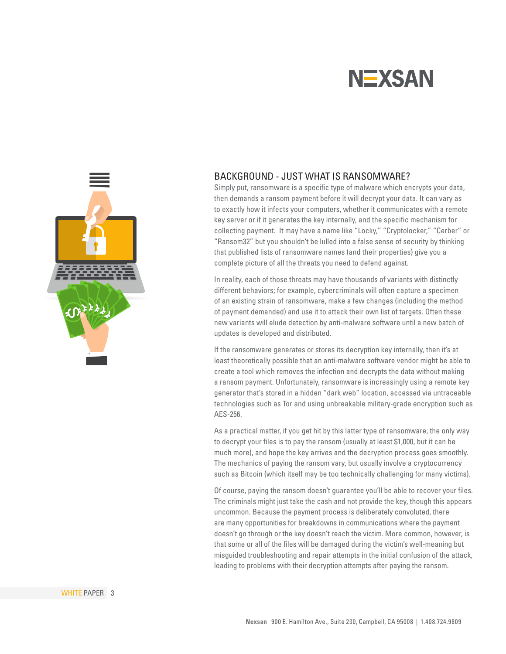

### BACKGROUND - JUST WHAT IS RANSOMWARE?

Simply put, ransomware is a specific type of malware which encrypts your data, then demands a ransom payment before it will decrypt your data. It can vary as to exactly how it infects your computers, whether it communicates with a remote key server or if it generates the key internally, and the specific mechanism for collecting payment. It may have a name like "Locky," "Cryptolocker," "Cerber" or "Ransom32" but you shouldn't be lulled into a false sense of security by thinking that published lists of ransomware names (and their properties) give you a complete picture of all the threats you need to defend against.

In reality, each of those threats may have thousands of variants with distinctly different behaviors; for example, cybercriminals will often capture a specimen of an existing strain of ransomware, make a few changes (including the method of payment demanded) and use it to attack their own list of targets. Often these new variants will elude detection by anti-malware software until a new batch of updates is developed and distributed.

If the ransomware generates or stores its decryption key internally, then it's at least theoretically possible that an anti-malware software vendor might be able to create a tool which removes the infection and decrypts the data without making a ransom payment. Unfortunately, ransomware is increasingly using a remote key generator that's stored in a hidden "dark web" location, accessed via untraceable technologies such as Tor and using unbreakable military-grade encryption such as AES-256.

As a practical matter, if you get hit by this latter type of ransomware, the only way to decrypt your files is to pay the ransom (usually at least \$1,000, but it can be much more), and hope the key arrives and the decryption process goes smoothly. The mechanics of paying the ransom vary, but usually involve a cryptocurrency such as Bitcoin (which itself may be too technically challenging for many victims).

Of course, paying the ransom doesn't guarantee you'll be able to recover your files. The criminals might just take the cash and not provide the key, though this appears uncommon. Because the payment process is deliberately convoluted, there are many opportunities for breakdowns in communications where the payment doesn't go through or the key doesn't reach the victim. More common, however, is that some or all of the files will be damaged during the victim's well-meaning but misguided troubleshooting and repair attempts in the initial confusion of the attack, leading to problems with their decryption attempts after paying the ransom.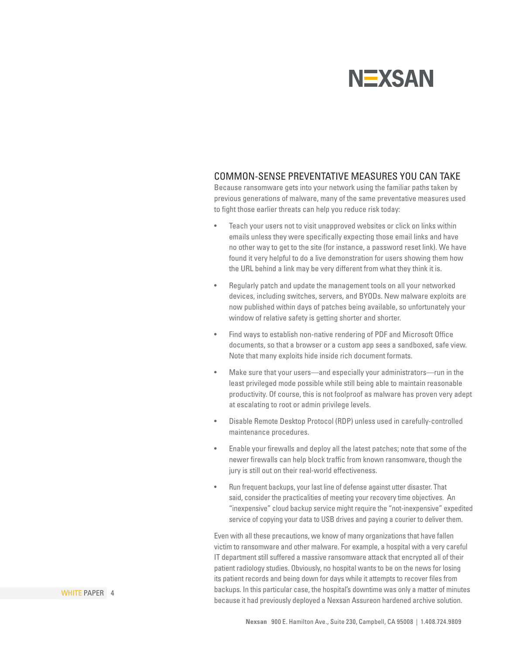#### COMMON-SENSE PREVENTATIVE MEASURES YOU CAN TAKE

Because ransomware gets into your network using the familiar paths taken by previous generations of malware, many of the same preventative measures used to fight those earlier threats can help you reduce risk today:

- Teach your users not to visit unapproved websites or click on links within emails unless they were specifically expecting those email links and have no other way to get to the site (for instance, a password reset link). We have found it very helpful to do a live demonstration for users showing them how the URL behind a link may be very different from what they think it is.
- Regularly patch and update the management tools on all your networked devices, including switches, servers, and BYODs. New malware exploits are now published within days of patches being available, so unfortunately your window of relative safety is getting shorter and shorter.
- Find ways to establish non-native rendering of PDF and Microsoft Office documents, so that a browser or a custom app sees a sandboxed, safe view. Note that many exploits hide inside rich document formats.
- Make sure that your users—and especially your administrators—run in the least privileged mode possible while still being able to maintain reasonable productivity. Of course, this is not foolproof as malware has proven very adept at escalating to root or admin privilege levels.
- Disable Remote Desktop Protocol (RDP) unless used in carefully-controlled maintenance procedures.
- Enable your firewalls and deploy all the latest patches; note that some of the newer firewalls can help block traffic from known ransomware, though the jury is still out on their real-world effectiveness.
- Run frequent backups, your last line of defense against utter disaster. That said, consider the practicalities of meeting your recovery time objectives. An "inexpensive" cloud backup service might require the "not-inexpensive" expedited service of copying your data to USB drives and paying a courier to deliver them.

Even with all these precautions, we know of many organizations that have fallen victim to ransomware and other malware. For example, a hospital with a very careful IT department still suffered a massive ransomware attack that encrypted all of their patient radiology studies. Obviously, no hospital wants to be on the news for losing its patient records and being down for days while it attempts to recover files from backups. In this particular case, the hospital's downtime was only a matter of minutes because it had previously deployed a Nexsan Assureon hardened archive solution.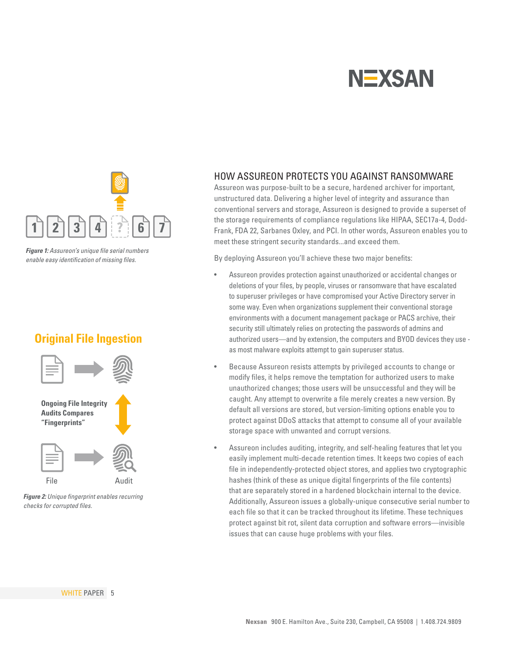

*Figure 1: Assureon's unique file serial numbers enable easy identification of missing files.*

## **Original File Ingestion**



*Figure 2: Unique fingerprint enables recurring checks for corrupted files.*

### HOW ASSUREON PROTECTS YOU AGAINST RANSOMWARE

Assureon was purpose-built to be a secure, hardened archiver for important, unstructured data. Delivering a higher level of integrity and assurance than conventional servers and storage, Assureon is designed to provide a superset of the storage requirements of compliance regulations like HIPAA, SEC17a-4, Dodd-Frank, FDA 22, Sarbanes Oxley, and PCI. In other words, Assureon enables you to meet these stringent security standards...and exceed them.

By deploying Assureon you'll achieve these two major benefits:

- Assureon provides protection against unauthorized or accidental changes or deletions of your files, by people, viruses or ransomware that have escalated to superuser privileges or have compromised your Active Directory server in some way. Even when organizations supplement their conventional storage environments with a document management package or PACS archive, their security still ultimately relies on protecting the passwords of admins and authorized users—and by extension, the computers and BYOD devices they use as most malware exploits attempt to gain superuser status.
- Because Assureon resists attempts by privileged accounts to change or modify files, it helps remove the temptation for authorized users to make unauthorized changes; those users will be unsuccessful and they will be caught. Any attempt to overwrite a file merely creates a new version. By default all versions are stored, but version-limiting options enable you to protect against DDoS attacks that attempt to consume all of your available storage space with unwanted and corrupt versions.
- Assureon includes auditing, integrity, and self-healing features that let you easily implement multi-decade retention times. It keeps two copies of each file in independently-protected object stores, and applies two cryptographic hashes (think of these as unique digital fingerprints of the file contents) that are separately stored in a hardened blockchain internal to the device. Additionally, Assureon issues a globally-unique consecutive serial number to each file so that it can be tracked throughout its lifetime. These techniques protect against bit rot, silent data corruption and software errors—invisible issues that can cause huge problems with your files.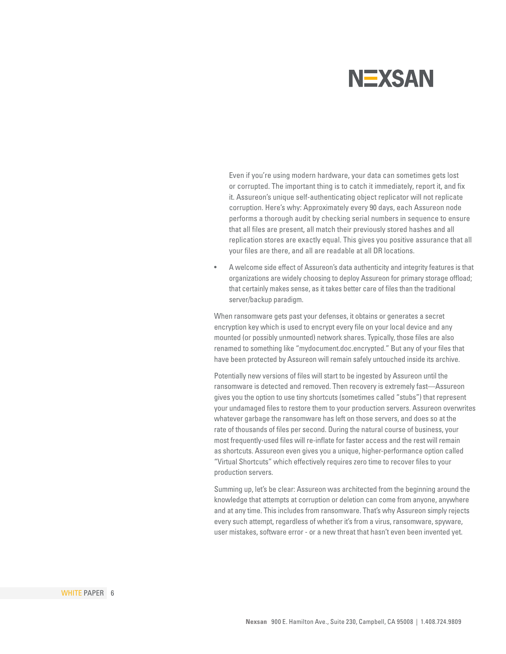Even if you're using modern hardware, your data can sometimes gets lost or corrupted. The important thing is to catch it immediately, report it, and fix it. Assureon's unique self-authenticating object replicator will not replicate corruption. Here's why: Approximately every 90 days, each Assureon node performs a thorough audit by checking serial numbers in sequence to ensure that all files are present, all match their previously stored hashes and all replication stores are exactly equal. This gives you positive assurance that all your files are there, and all are readable at all DR locations.

• A welcome side effect of Assureon's data authenticity and integrity features is that organizations are widely choosing to deploy Assureon for primary storage offload; that certainly makes sense, as it takes better care of files than the traditional server/backup paradigm.

When ransomware gets past your defenses, it obtains or generates a secret encryption key which is used to encrypt every file on your local device and any mounted (or possibly unmounted) network shares. Typically, those files are also renamed to something like "mydocument.doc.encrypted." But any of your files that have been protected by Assureon will remain safely untouched inside its archive.

Potentially new versions of files will start to be ingested by Assureon until the ransomware is detected and removed. Then recovery is extremely fast—Assureon gives you the option to use tiny shortcuts (sometimes called "stubs") that represent your undamaged files to restore them to your production servers. Assureon overwrites whatever garbage the ransomware has left on those servers, and does so at the rate of thousands of files per second. During the natural course of business, your most frequently-used files will re-inflate for faster access and the rest will remain as shortcuts. Assureon even gives you a unique, higher-performance option called "Virtual Shortcuts" which effectively requires zero time to recover files to your production servers.

Summing up, let's be clear: Assureon was architected from the beginning around the knowledge that attempts at corruption or deletion can come from anyone, anywhere and at any time. This includes from ransomware. That's why Assureon simply rejects every such attempt, regardless of whether it's from a virus, ransomware, spyware, user mistakes, software error - or a new threat that hasn't even been invented yet.